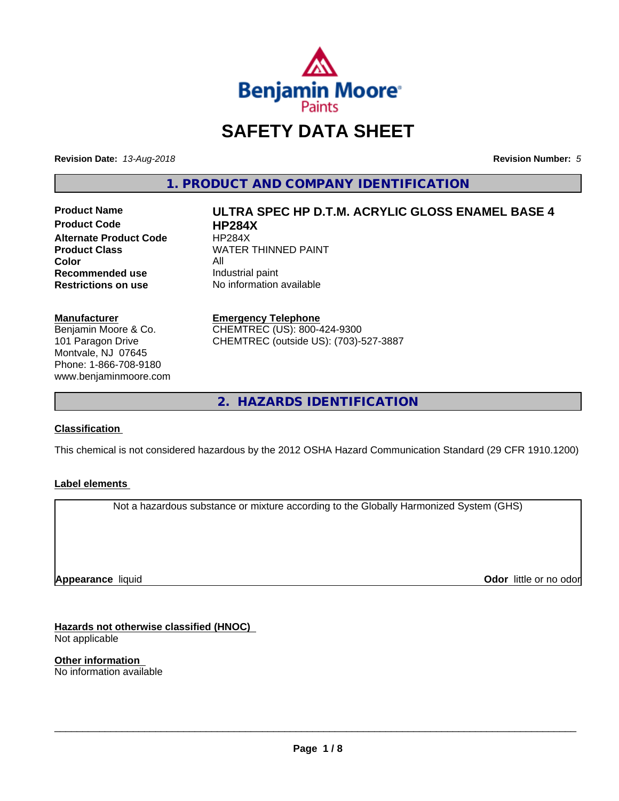

# **SAFETY DATA SHEET**

**Revision Date:** *13-Aug-2018* **Revision Number:** *5*

**1. PRODUCT AND COMPANY IDENTIFICATION**

**Product Code HP284X Alternate Product Code HP284X**<br>**Product Class NATER Color**<br> **Recommended use** The Industrial paint **Recommended use**<br>Restrictions on use

# **Product Name ULTRA SPEC HP D.T.M. ACRYLIC GLOSS ENAMEL BASE 4 WATER THINNED PAINT**

**No information available** 

**Manufacturer** Benjamin Moore & Co. 101 Paragon Drive Montvale, NJ 07645 Phone: 1-866-708-9180 www.benjaminmoore.com

#### **Emergency Telephone**

CHEMTREC (US): 800-424-9300 CHEMTREC (outside US): (703)-527-3887

**2. HAZARDS IDENTIFICATION**

# **Classification**

This chemical is not considered hazardous by the 2012 OSHA Hazard Communication Standard (29 CFR 1910.1200)

#### **Label elements**

Not a hazardous substance or mixture according to the Globally Harmonized System (GHS)

**Appearance** liquid

**Odor** little or no odor

**Hazards not otherwise classified (HNOC)** Not applicable

**Other information** No information available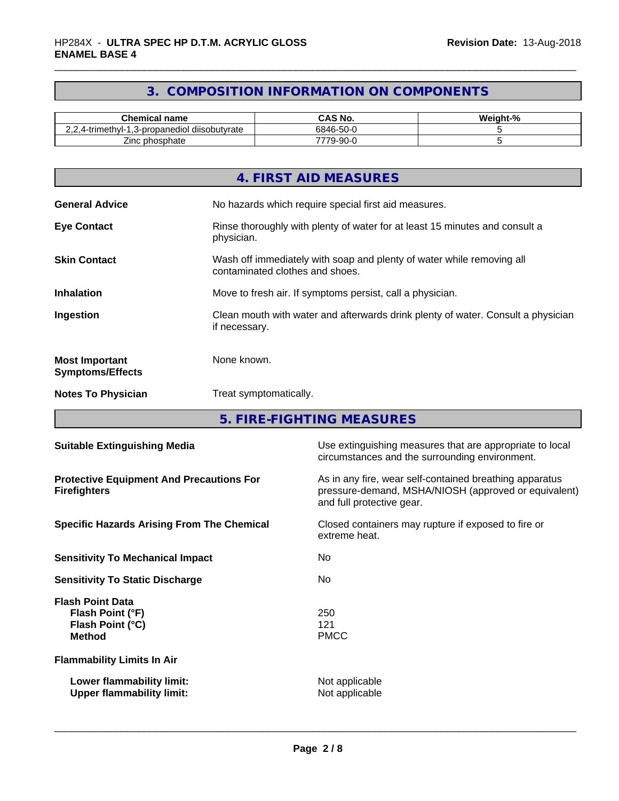# **3. COMPOSITION INFORMATION ON COMPONENTS**

| hemical nameٺ                                                      | CAS No.                           | $\sim$<br><br>Weight-"<br>- 70 |
|--------------------------------------------------------------------|-----------------------------------|--------------------------------|
| <br>$\gamma$ 4-trimethyl-<br>l diisobutvrate<br>3-propanediol<br>. | 6846-50-0                         |                                |
| -<br>phosphate<br>∠inc                                             | $-90-0$<br>7770<br>ฯ-ฯ<br>$\cdot$ |                                |

| 4. FIRST AID MEASURES                                                                                                           |
|---------------------------------------------------------------------------------------------------------------------------------|
| No hazards which require special first aid measures.<br><b>General Advice</b>                                                   |
| <b>Eye Contact</b><br>Rinse thoroughly with plenty of water for at least 15 minutes and consult a<br>physician.                 |
| Wash off immediately with soap and plenty of water while removing all<br><b>Skin Contact</b><br>contaminated clothes and shoes. |
| Move to fresh air. If symptoms persist, call a physician.<br><b>Inhalation</b>                                                  |
| Clean mouth with water and afterwards drink plenty of water. Consult a physician<br>Ingestion<br>if necessary.                  |
| None known.<br><b>Most Important</b><br><b>Symptoms/Effects</b>                                                                 |
| <b>Notes To Physician</b><br>Treat symptomatically.                                                                             |

**5. FIRE-FIGHTING MEASURES**

| <b>Suitable Extinguishing Media</b>                                              | Use extinguishing measures that are appropriate to local<br>circumstances and the surrounding environment.                                   |
|----------------------------------------------------------------------------------|----------------------------------------------------------------------------------------------------------------------------------------------|
| <b>Protective Equipment And Precautions For</b><br><b>Firefighters</b>           | As in any fire, wear self-contained breathing apparatus<br>pressure-demand, MSHA/NIOSH (approved or equivalent)<br>and full protective gear. |
| <b>Specific Hazards Arising From The Chemical</b>                                | Closed containers may rupture if exposed to fire or<br>extreme heat.                                                                         |
| <b>Sensitivity To Mechanical Impact</b>                                          | No.                                                                                                                                          |
| <b>Sensitivity To Static Discharge</b>                                           | No.                                                                                                                                          |
| <b>Flash Point Data</b><br>Flash Point (°F)<br>Flash Point (°C)<br><b>Method</b> | 250<br>121<br><b>PMCC</b>                                                                                                                    |
| <b>Flammability Limits In Air</b>                                                |                                                                                                                                              |
| Lower flammability limit:<br><b>Upper flammability limit:</b>                    | Not applicable<br>Not applicable                                                                                                             |
|                                                                                  |                                                                                                                                              |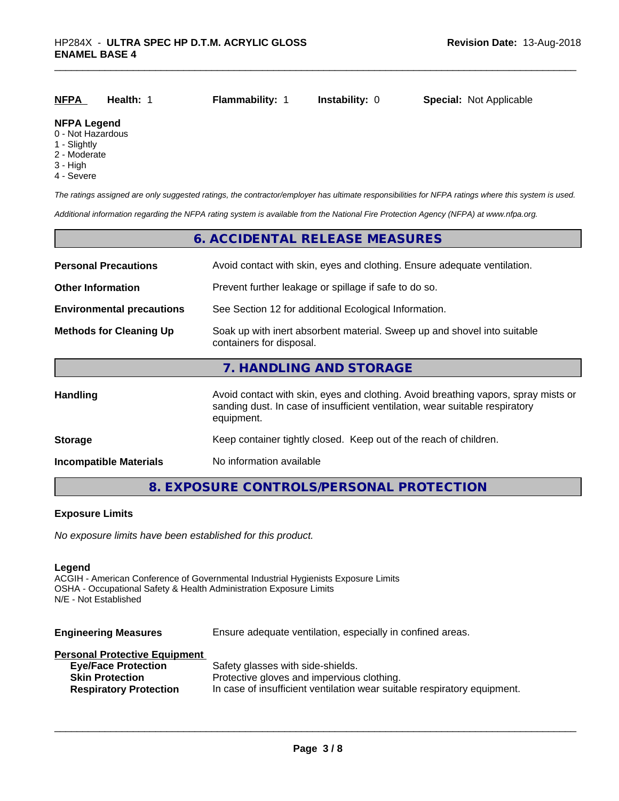| <b>NFPA</b>                                                                                                                                                                                                                                                                                                                                                                                                                                             | Health: 1 | <b>Flammability: 1</b> | <b>Instability: 0</b> | <b>Special: Not Applicable</b> |
|---------------------------------------------------------------------------------------------------------------------------------------------------------------------------------------------------------------------------------------------------------------------------------------------------------------------------------------------------------------------------------------------------------------------------------------------------------|-----------|------------------------|-----------------------|--------------------------------|
| <b>NFPA Legend</b><br>$\bigcap$ <b>N</b> $\bigcup$ <b>N</b> $\bigcup$ <b>N</b> $\bigcup$ <b>N</b> $\bigcup$ <b>N</b> $\bigcup$ <b>N</b> $\bigcup$ <b>N</b> $\bigcup$ <b>N</b> $\bigcup$ <b>N</b> $\bigcup$ <b>N</b> $\bigcup$ <b>N</b> $\bigcup$ <b>N</b> $\bigcup$ <b>N</b> $\bigcup$ <b>N</b> $\bigcup$ <b>N</b> $\bigcup$ <b>N</b> $\bigcup$ <b>N</b> $\bigcup$ <b>N</b> $\bigcup$ <b>N</b> $\bigcup$ <b>N</b> $\bigcup$ <b>N</b> $\bigcup$ <b>N</b> |           |                        |                       |                                |

#### 0 - Not Hazardous

- 1 Slightly
- 2 Moderate
- 3 High
- 4 Severe

*The ratings assigned are only suggested ratings, the contractor/employer has ultimate responsibilities for NFPA ratings where this system is used.*

*Additional information regarding the NFPA rating system is available from the National Fire Protection Agency (NFPA) at www.nfpa.org.*

### **6. ACCIDENTAL RELEASE MEASURES**

| <b>Personal Precautions</b>                                                               | Avoid contact with skin, eyes and clothing. Ensure adequate ventilation.                                                                                                         |  |
|-------------------------------------------------------------------------------------------|----------------------------------------------------------------------------------------------------------------------------------------------------------------------------------|--|
| <b>Other Information</b>                                                                  | Prevent further leakage or spillage if safe to do so.                                                                                                                            |  |
| See Section 12 for additional Ecological Information.<br><b>Environmental precautions</b> |                                                                                                                                                                                  |  |
| <b>Methods for Cleaning Up</b>                                                            | Soak up with inert absorbent material. Sweep up and shovel into suitable<br>containers for disposal.                                                                             |  |
|                                                                                           | 7. HANDLING AND STORAGE                                                                                                                                                          |  |
| <b>Handling</b>                                                                           | Avoid contact with skin, eyes and clothing. Avoid breathing vapors, spray mists or<br>sanding dust. In case of insufficient ventilation, wear suitable respiratory<br>equipment. |  |
| <b>Storage</b>                                                                            | Keep container tightly closed. Keep out of the reach of children.                                                                                                                |  |
| <b>Incompatible Materials</b>                                                             | No information available                                                                                                                                                         |  |

### **8. EXPOSURE CONTROLS/PERSONAL PROTECTION**

#### **Exposure Limits**

*No exposure limits have been established for this product.*

#### **Legend**

ACGIH - American Conference of Governmental Industrial Hygienists Exposure Limits OSHA - Occupational Safety & Health Administration Exposure Limits N/E - Not Established

| <b>Engineering Measures</b>                                                                                                   | Ensure adequate ventilation, especially in confined areas.                                                                                                  |
|-------------------------------------------------------------------------------------------------------------------------------|-------------------------------------------------------------------------------------------------------------------------------------------------------------|
| <b>Personal Protective Equipment</b><br><b>Eye/Face Protection</b><br><b>Skin Protection</b><br><b>Respiratory Protection</b> | Safety glasses with side-shields.<br>Protective gloves and impervious clothing.<br>In case of insufficient ventilation wear suitable respiratory equipment. |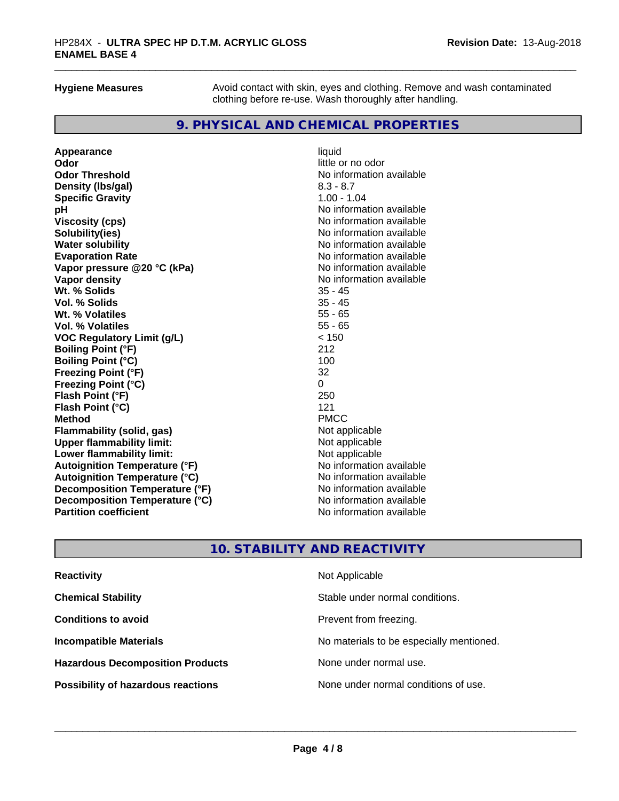**Hygiene Measures** Avoid contact with skin, eyes and clothing. Remove and wash contaminated clothing before re-use. Wash thoroughly after handling.

# **9. PHYSICAL AND CHEMICAL PROPERTIES**

**Appearance** liquid **Odor** little or no odor **Odor Threshold No information available Density (lbs/gal)** 8.3 - 8.7 **Specific Gravity** 1.00 - 1.04 **pH pH**  $\blacksquare$ **Viscosity (cps)** No information available<br> **Solubility(ies)** No information available **Solubility(ies)**<br> **No information available**<br> **Water solubility**<br> **Water solubility Evaporation Rate Conservation Rate** No information available<br> **Vapor pressure @20 °C (kPa)** No information available **Vapor** pressure @20 °C (kPa) **Vapor density Vapor** density **Wt. % Solids** 35 - 45 **Vol. % Solids** 35 - 45 **Wt. % Volatiles Vol. % Volatiles** 55 - 65 **VOC Regulatory Limit (g/L)** < 150 **Boiling Point (°F)** 212 **Boiling Point (°C)** 100<br> **Preezing Point (°F)** 100<br>
22 **Freezing Point (°F) Freezing Point (°C)** 0 **Flash Point (°F)** 250 **Flash Point (°C) Method** PMCC **Flammability (solid, gas)** Not applicable<br> **Upper flammability limit:** Not applicable **Upper flammability limit:**<br> **Lower flammability limit:** Not applicable Not applicable **Lower flammability limit: Autoignition Temperature (°F)**<br> **Autoignition Temperature (°C)** No information available **Autoignition Temperature (°C) Decomposition Temperature (°F)**<br> **Decomposition Temperature (°C)** Moinformation available **Decomposition Temperature (°C)**<br>Partition coefficient

**No information available No information available** 

# **10. STABILITY AND REACTIVITY**

| <b>Reactivity</b>                         | Not Applicable                           |
|-------------------------------------------|------------------------------------------|
| <b>Chemical Stability</b>                 | Stable under normal conditions.          |
| <b>Conditions to avoid</b>                | Prevent from freezing.                   |
| <b>Incompatible Materials</b>             | No materials to be especially mentioned. |
| <b>Hazardous Decomposition Products</b>   | None under normal use.                   |
| <b>Possibility of hazardous reactions</b> | None under normal conditions of use.     |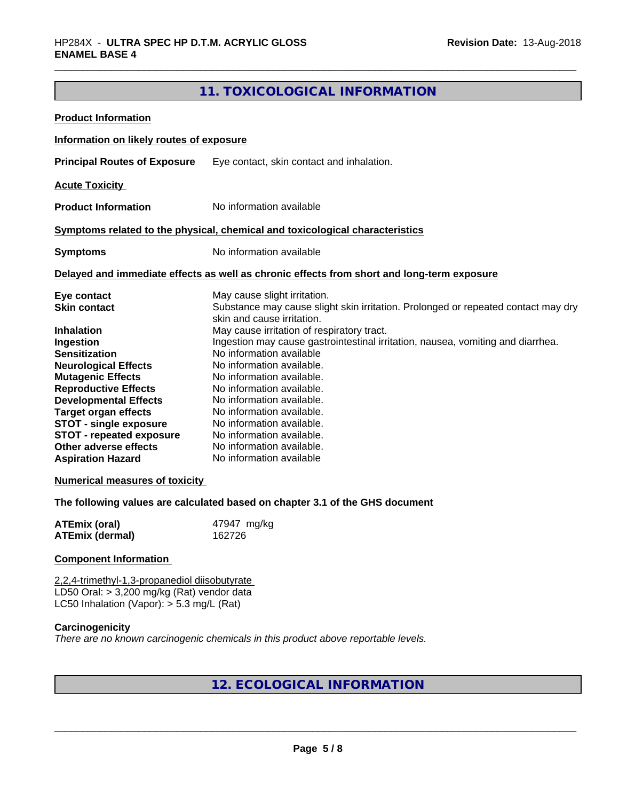# **11. TOXICOLOGICAL INFORMATION**

| <b>Product Information</b>                                                                                                                                                                                                                                                                                                                                |                                                                                                                                                                                                                                                                                                                                                                                                                                                                                                                                                      |
|-----------------------------------------------------------------------------------------------------------------------------------------------------------------------------------------------------------------------------------------------------------------------------------------------------------------------------------------------------------|------------------------------------------------------------------------------------------------------------------------------------------------------------------------------------------------------------------------------------------------------------------------------------------------------------------------------------------------------------------------------------------------------------------------------------------------------------------------------------------------------------------------------------------------------|
| Information on likely routes of exposure                                                                                                                                                                                                                                                                                                                  |                                                                                                                                                                                                                                                                                                                                                                                                                                                                                                                                                      |
| <b>Principal Routes of Exposure</b>                                                                                                                                                                                                                                                                                                                       | Eye contact, skin contact and inhalation.                                                                                                                                                                                                                                                                                                                                                                                                                                                                                                            |
| <b>Acute Toxicity</b>                                                                                                                                                                                                                                                                                                                                     |                                                                                                                                                                                                                                                                                                                                                                                                                                                                                                                                                      |
| <b>Product Information</b>                                                                                                                                                                                                                                                                                                                                | No information available                                                                                                                                                                                                                                                                                                                                                                                                                                                                                                                             |
|                                                                                                                                                                                                                                                                                                                                                           | Symptoms related to the physical, chemical and toxicological characteristics                                                                                                                                                                                                                                                                                                                                                                                                                                                                         |
| <b>Symptoms</b>                                                                                                                                                                                                                                                                                                                                           | No information available                                                                                                                                                                                                                                                                                                                                                                                                                                                                                                                             |
|                                                                                                                                                                                                                                                                                                                                                           | Delayed and immediate effects as well as chronic effects from short and long-term exposure                                                                                                                                                                                                                                                                                                                                                                                                                                                           |
| Eye contact<br><b>Skin contact</b><br><b>Inhalation</b><br>Ingestion<br><b>Sensitization</b><br><b>Neurological Effects</b><br><b>Mutagenic Effects</b><br><b>Reproductive Effects</b><br><b>Developmental Effects</b><br><b>Target organ effects</b><br><b>STOT - single exposure</b><br><b>STOT - repeated exposure</b><br><b>Other adverse effects</b> | May cause slight irritation.<br>Substance may cause slight skin irritation. Prolonged or repeated contact may dry<br>skin and cause irritation.<br>May cause irritation of respiratory tract.<br>Ingestion may cause gastrointestinal irritation, nausea, vomiting and diarrhea.<br>No information available<br>No information available.<br>No information available.<br>No information available.<br>No information available.<br>No information available.<br>No information available.<br>No information available.<br>No information available. |

#### **Numerical measures of toxicity**

**The following values are calculated based on chapter 3.1 of the GHS document**

| <b>ATEmix (oral)</b> | 47947 mg/kg |
|----------------------|-------------|
| ATEmix (dermal)      | 162726      |

#### **Component Information**

2,2,4-trimethyl-1,3-propanediol diisobutyrate LD50 Oral: > 3,200 mg/kg (Rat) vendor data LC50 Inhalation (Vapor): > 5.3 mg/L (Rat)

#### **Carcinogenicity**

*There are no known carcinogenic chemicals in this product above reportable levels.*

# **12. ECOLOGICAL INFORMATION**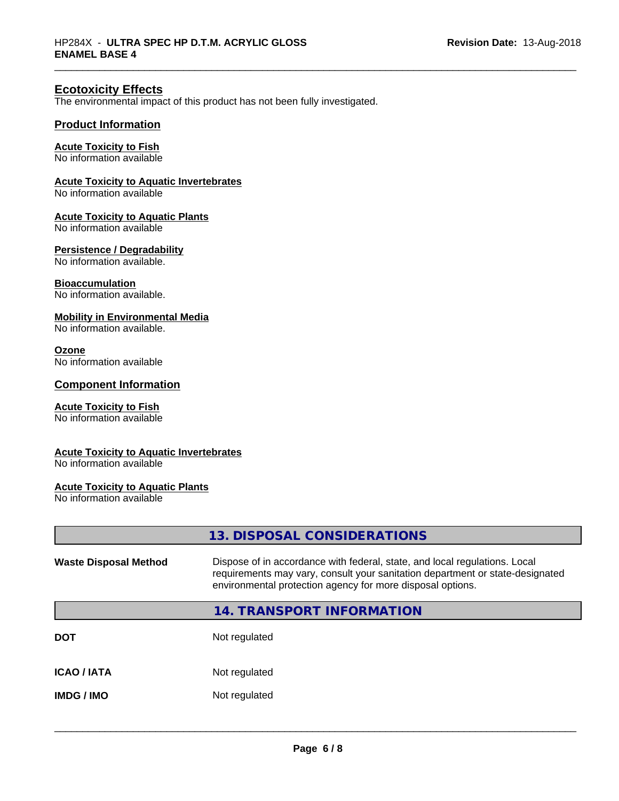## **Ecotoxicity Effects**

The environmental impact of this product has not been fully investigated.

#### **Product Information**

#### **Acute Toxicity to Fish**

No information available

#### **Acute Toxicity to Aquatic Invertebrates**

No information available

#### **Acute Toxicity to Aquatic Plants**

No information available

#### **Persistence / Degradability**

No information available.

#### **Bioaccumulation**

No information available.

#### **Mobility in Environmental Media**

No information available.

#### **Ozone**

No information available

#### **Component Information**

#### **Acute Toxicity to Fish**

No information available

#### **Acute Toxicity to Aquatic Invertebrates**

No information available

#### **Acute Toxicity to Aquatic Plants**

No information available

|                              | 13. DISPOSAL CONSIDERATIONS                                                                                                                                                                                               |
|------------------------------|---------------------------------------------------------------------------------------------------------------------------------------------------------------------------------------------------------------------------|
| <b>Waste Disposal Method</b> | Dispose of in accordance with federal, state, and local regulations. Local<br>requirements may vary, consult your sanitation department or state-designated<br>environmental protection agency for more disposal options. |
|                              | 14. TRANSPORT INFORMATION                                                                                                                                                                                                 |
| DOT                          | Not regulated                                                                                                                                                                                                             |
| <b>ICAO / IATA</b>           | Not regulated                                                                                                                                                                                                             |
| <b>IMDG / IMO</b>            | Not regulated                                                                                                                                                                                                             |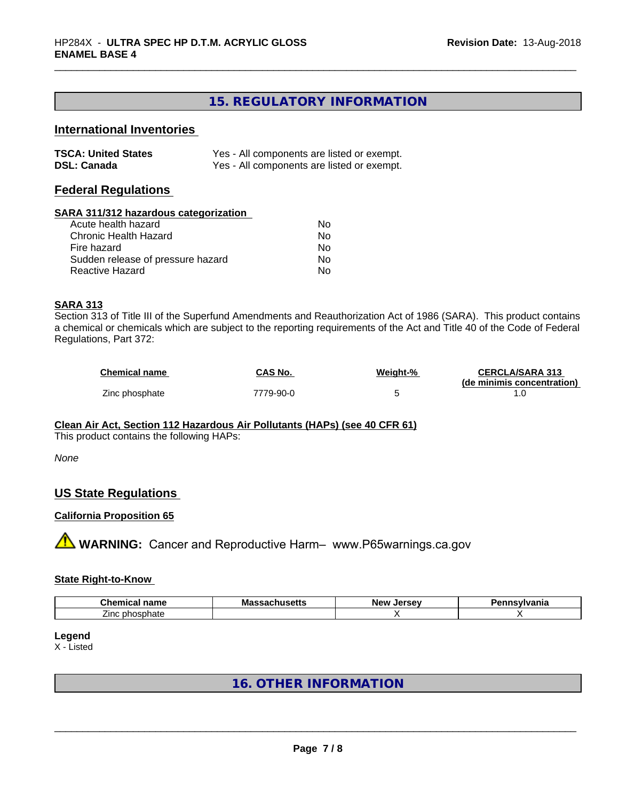# **15. REGULATORY INFORMATION**

# **International Inventories**

| <b>TSCA: United States</b> | Yes - All components are listed or exempt. |
|----------------------------|--------------------------------------------|
| <b>DSL: Canada</b>         | Yes - All components are listed or exempt. |

#### **Federal Regulations**

#### **SARA 311/312 hazardous categorization**

| Acute health hazard               | Nο |
|-----------------------------------|----|
| Chronic Health Hazard             | Nο |
| Fire hazard                       | Nο |
| Sudden release of pressure hazard | Nο |
| Reactive Hazard                   | N٥ |

#### **SARA 313**

Section 313 of Title III of the Superfund Amendments and Reauthorization Act of 1986 (SARA). This product contains a chemical or chemicals which are subject to the reporting requirements of the Act and Title 40 of the Code of Federal Regulations, Part 372:

| <b>Chemical name</b> | <b>CAS No.</b> | Weight-% | <b>CERCLA/SARA 313</b>     |
|----------------------|----------------|----------|----------------------------|
|                      |                |          | (de minimis concentration) |
| Zinc phosphate       | 7779-90-0      |          |                            |

#### **Clean Air Act,Section 112 Hazardous Air Pollutants (HAPs) (see 40 CFR 61)**

This product contains the following HAPs:

#### *None*

#### **US State Regulations**

#### **California Proposition 65**

**AVIMARNING:** Cancer and Reproductive Harm– www.P65warnings.ca.gov

#### **State Right-to-Know**

| Chem<br>$-$<br><br>пане<br>:1111 | ма<br>---<br>uscua | <b>FCOU</b><br><b>NIAV</b><br>$\cdot$<br>. . | vlvania |
|----------------------------------|--------------------|----------------------------------------------|---------|
| _<br>osphate<br>Zinc.<br>phosr   |                    |                                              |         |

# **Legend**

X - Listed

# **16. OTHER INFORMATION**